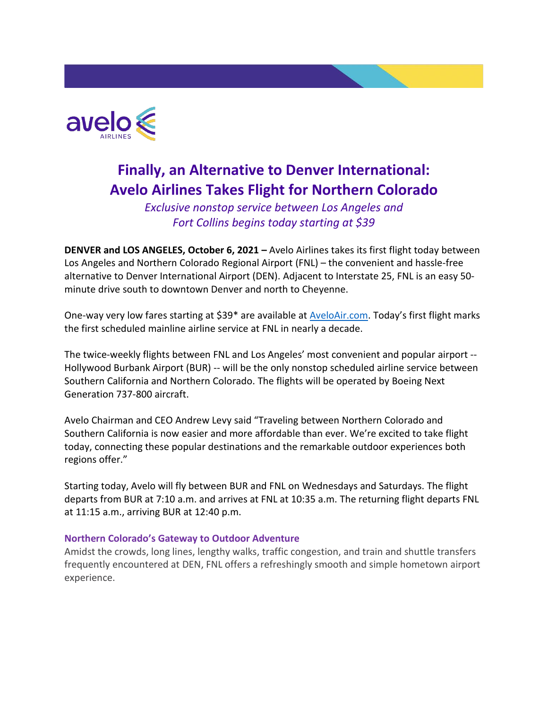

# **Finally, an Alternative to Denver International: Avelo Airlines Takes Flight for Northern Colorado**

*Exclusive nonstop service between Los Angeles and Fort Collins begins today starting at \$39*

**DENVER and LOS ANGELES, October 6, 2021 –** Avelo Airlines takes its first flight today between Los Angeles and Northern Colorado Regional Airport (FNL) – the convenient and hassle-free alternative to Denver International Airport (DEN). Adjacent to Interstate 25, FNL is an easy 50 minute drive south to downtown Denver and north to Cheyenne.

One-way very low fares starting at \$39\* are available at [AveloAir.com.](http://aveloair.com/) Today's first flight marks the first scheduled mainline airline service at FNL in nearly a decade.

The twice-weekly flights between FNL and Los Angeles' most convenient and popular airport -- Hollywood Burbank Airport (BUR) -- will be the only nonstop scheduled airline service between Southern California and Northern Colorado. The flights will be operated by Boeing Next Generation 737-800 aircraft.

Avelo Chairman and CEO Andrew Levy said "Traveling between Northern Colorado and Southern California is now easier and more affordable than ever. We're excited to take flight today, connecting these popular destinations and the remarkable outdoor experiences both regions offer."

Starting today, Avelo will fly between BUR and FNL on Wednesdays and Saturdays. The flight departs from BUR at 7:10 a.m. and arrives at FNL at 10:35 a.m. The returning flight departs FNL at 11:15 a.m., arriving BUR at 12:40 p.m.

#### **Northern Colorado's Gateway to Outdoor Adventure**

Amidst the crowds, long lines, lengthy walks, traffic congestion, and train and shuttle transfers frequently encountered at DEN, FNL offers a refreshingly smooth and simple hometown airport experience.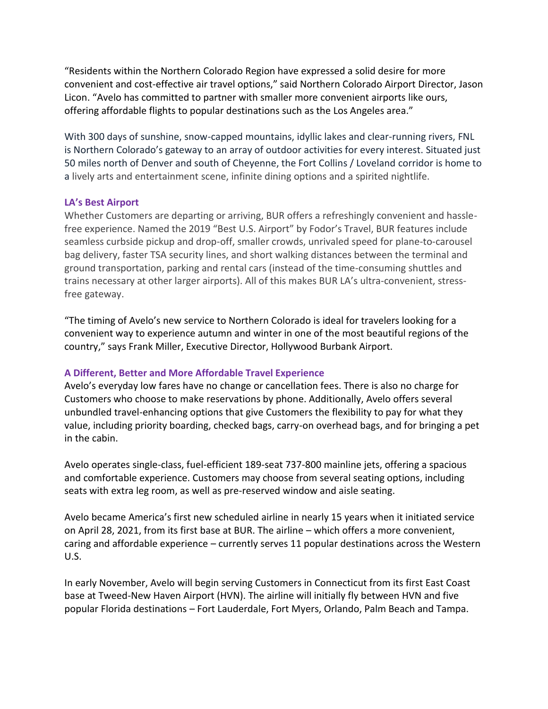"Residents within the Northern Colorado Region have expressed a solid desire for more convenient and cost-effective air travel options," said Northern Colorado Airport Director, Jason Licon. "Avelo has committed to partner with smaller more convenient airports like ours, offering affordable flights to popular destinations such as the Los Angeles area."

With 300 days of sunshine, snow-capped mountains, idyllic lakes and clear-running rivers, FNL is Northern Colorado's gateway to an array of outdoor activities for every interest. Situated just 50 miles north of Denver and south of Cheyenne, the Fort Collins / Loveland corridor is home to a lively arts and entertainment scene, infinite dining options and a spirited nightlife.

#### **LA's Best Airport**

Whether Customers are departing or arriving, BUR offers a refreshingly convenient and hasslefree experience. Named the 2019 "Best U.S. Airport" by Fodor's Travel, BUR features include seamless curbside pickup and drop-off, smaller crowds, unrivaled speed for plane-to-carousel bag delivery, faster TSA security lines, and short walking distances between the terminal and ground transportation, parking and rental cars (instead of the time-consuming shuttles and trains necessary at other larger airports). All of this makes BUR LA's ultra-convenient, stressfree gateway.

"The timing of Avelo's new service to Northern Colorado is ideal for travelers looking for a convenient way to experience autumn and winter in one of the most beautiful regions of the country," says Frank Miller, Executive Director, Hollywood Burbank Airport.

#### **A Different, Better and More Affordable Travel Experience**

Avelo's everyday low fares have no change or cancellation fees. There is also no charge for Customers who choose to make reservations by phone. Additionally, Avelo offers several unbundled travel-enhancing options that give Customers the flexibility to pay for what they value, including priority boarding, checked bags, carry-on overhead bags, and for bringing a pet in the cabin.

Avelo operates single-class, fuel-efficient 189-seat 737-800 mainline jets, offering a spacious and comfortable experience. Customers may choose from several seating options, including seats with extra leg room, as well as pre-reserved window and aisle seating.

Avelo became America's first new scheduled airline in nearly 15 years when it initiated service on April 28, 2021, from its first base at BUR. The airline – which offers a more convenient, caring and affordable experience – currently serves 11 popular destinations across the Western U.S.

In early November, Avelo will begin serving Customers in Connecticut from its first East Coast base at Tweed-New Haven Airport (HVN). The airline will initially fly between HVN and five popular Florida destinations – Fort Lauderdale, Fort Myers, Orlando, Palm Beach and Tampa.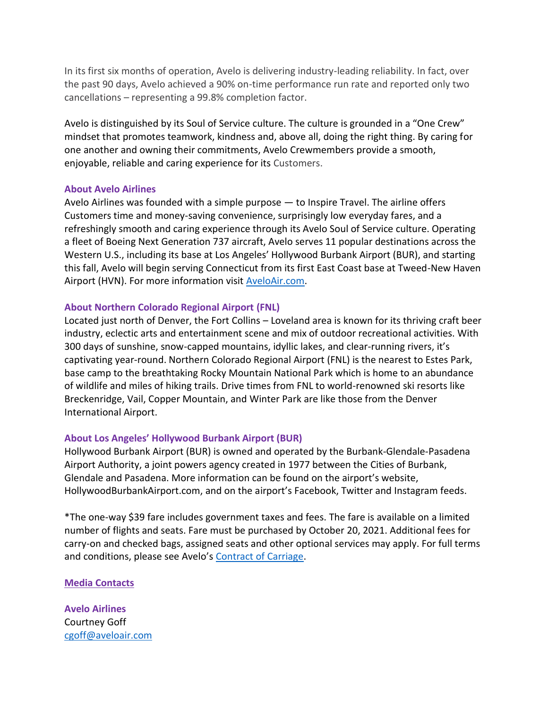In its first six months of operation, Avelo is delivering industry-leading reliability. In fact, over the past 90 days, Avelo achieved a 90% on-time performance run rate and reported only two cancellations – representing a 99.8% completion factor.

Avelo is distinguished by its Soul of Service culture. The culture is grounded in a "One Crew" mindset that promotes teamwork, kindness and, above all, doing the right thing. By caring for one another and owning their commitments, Avelo Crewmembers provide a smooth, enjoyable, reliable and caring experience for its Customers.

#### **About Avelo Airlines**

Avelo Airlines was founded with a simple purpose — to Inspire Travel. The airline offers Customers time and money-saving convenience, surprisingly low everyday fares, and a refreshingly smooth and caring experience through its Avelo Soul of Service culture. Operating a fleet of Boeing Next Generation 737 aircraft, Avelo serves 11 popular destinations across the Western U.S., including its base at Los Angeles' Hollywood Burbank Airport (BUR), and starting this fall, Avelo will begin serving Connecticut from its first East Coast base at Tweed-New Haven Airport (HVN). For more information visit [AveloAir.com.](http://aveloair.com/)

#### **About Northern Colorado Regional Airport (FNL)**

Located just north of Denver, the Fort Collins – Loveland area is known for its thriving craft beer industry, eclectic arts and entertainment scene and mix of outdoor recreational activities. With 300 days of sunshine, snow-capped mountains, idyllic lakes, and clear-running rivers, it's captivating year-round. Northern Colorado Regional Airport (FNL) is the nearest to Estes Park, base camp to the breathtaking Rocky Mountain National Park which is home to an abundance of wildlife and miles of hiking trails. Drive times from FNL to world-renowned ski resorts like Breckenridge, Vail, Copper Mountain, and Winter Park are like those from the Denver International Airport.

#### **About Los Angeles' Hollywood Burbank Airport (BUR)**

Hollywood Burbank Airport (BUR) is owned and operated by the Burbank-Glendale-Pasadena Airport Authority, a joint powers agency created in 1977 between the Cities of Burbank, Glendale and Pasadena. More information can be found on the airport's website, HollywoodBurbankAirport.com, and on the airport's Facebook, Twitter and Instagram feeds.

\*The one-way \$39 fare includes government taxes and fees. The fare is available on a limited number of flights and seats. Fare must be purchased by October 20, 2021. Additional fees for carry-on and checked bags, assigned seats and other optional services may apply. For full terms and conditions, please see Avelo's [Contract of Carriage.](https://www.aveloair.com/contract-of-carriage)

### **Media Contacts**

**Avelo Airlines** Courtney Goff [cgoff@aveloair.com](mailto:cgoff@aveloair.com)